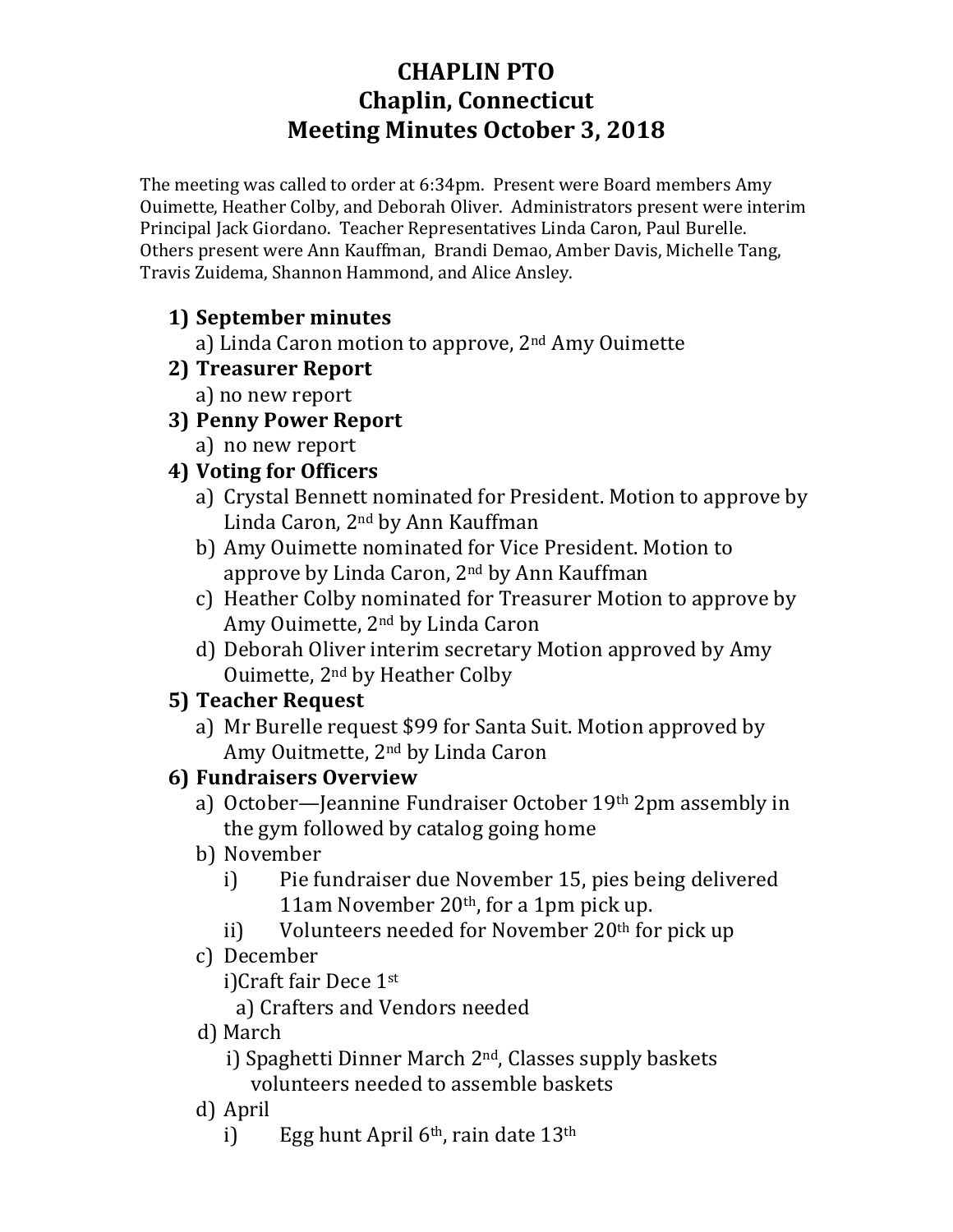# **CHAPLIN PTO Chaplin, Connecticut Meeting Minutes October 3, 2018**

The meeting was called to order at 6:34pm. Present were Board members Amy Ouimette, Heather Colby, and Deborah Oliver. Administrators present were interim Principal Jack Giordano. Teacher Representatives Linda Caron, Paul Burelle. Others present were Ann Kauffman, Brandi Demao, Amber Davis, Michelle Tang, Travis Zuidema, Shannon Hammond, and Alice Ansley.

## **1) September minutes**

a) Linda Caron motion to approve, 2<sup>nd</sup> Amy Ouimette

- **2) Treasurer Report**
	- a) no new report
- **3) Penny Power Report**
	- a) no new report

## **4)** Voting for Officers

- a) Crystal Bennett nominated for President. Motion to approve by Linda Caron, 2<sup>nd</sup> by Ann Kauffman
- b) Amy Ouimette nominated for Vice President. Motion to approve by Linda Caron,  $2<sup>nd</sup>$  by Ann Kauffman
- c) Heather Colby nominated for Treasurer Motion to approve by Amy Ouimette, 2<sup>nd</sup> by Linda Caron
- d) Deborah Oliver interim secretary Motion approved by Amy Ouimette, 2<sup>nd</sup> by Heather Colby

## **5) Teacher Request**

a) Mr Burelle request \$99 for Santa Suit. Motion approved by Amy Ouitmette, 2<sup>nd</sup> by Linda Caron

## **6) Fundraisers Overview**

- a) October—Jeannine Fundraiser October 19th 2pm assembly in the gym followed by catalog going home
- b) November
	- i) Pie fundraiser due November 15, pies being delivered 11am November  $20<sup>th</sup>$ , for a 1pm pick up.
	- ii) Volunteers needed for November  $20<sup>th</sup>$  for pick up
- c) December

i)Craft fair Dece 1st

a) Crafters and Vendors needed

 d) March

i) Spaghetti Dinner March  $2<sup>nd</sup>$ , Classes supply baskets volunteers needed to assemble baskets

- d) April
	- i) Egg hunt April  $6<sup>th</sup>$ , rain date  $13<sup>th</sup>$